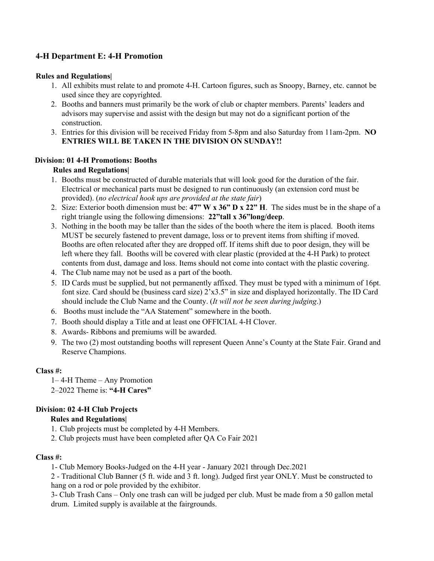# **4-H Department E: 4-H Promotion**

### **Rules and Regulations|**

- 1. All exhibits must relate to and promote 4-H. Cartoon figures, such as Snoopy, Barney, etc. cannot be used since they are copyrighted.
- 2. Booths and banners must primarily be the work of club or chapter members. Parents' leaders and advisors may supervise and assist with the design but may not do a significant portion of the construction.
- 3. Entries for this division will be received Friday from 5-8pm and also Saturday from 11am-2pm. **NO ENTRIES WILL BE TAKEN IN THE DIVISION ON SUNDAY!!**

#### **Division: 01 4-H Promotions: Booths**

### **Rules and Regulations|**

- 1. Booths must be constructed of durable materials that will look good for the duration of the fair. Electrical or mechanical parts must be designed to run continuously (an extension cord must be provided). (*no electrical hook ups are provided at the state fair*)
- 2. Size: Exterior booth dimension must be: **47" W x 36" D x 22" H**. The sides must be in the shape of a right triangle using the following dimensions: **22"tall x 36"long/deep**.
- 3. Nothing in the booth may be taller than the sides of the booth where the item is placed. Booth items MUST be securely fastened to prevent damage, loss or to prevent items from shifting if moved. Booths are often relocated after they are dropped off. If items shift due to poor design, they will be left where they fall. Booths will be covered with clear plastic (provided at the 4-H Park) to protect contents from dust, damage and loss. Items should not come into contact with the plastic covering.
- 4. The Club name may not be used as a part of the booth.
- 5. ID Cards must be supplied, but not permanently affixed. They must be typed with a minimum of 16pt. font size. Card should be (business card size) 2'x3.5" in size and displayed horizontally. The ID Card should include the Club Name and the County. (*It will not be seen during judging*.)
- 6. Booths must include the "AA Statement" somewhere in the booth.
- 7. Booth should display a Title and at least one OFFICIAL 4-H Clover.
- 8. Awards- Ribbons and premiums will be awarded.
- 9. The two (2) most outstanding booths will represent Queen Anne's County at the State Fair. Grand and Reserve Champions.

#### **Class #:**

1– 4-H Theme – Any Promotion 2–2022 Theme is: **"4-H Cares"**

# **Division: 02 4-H Club Projects**

# **Rules and Regulations|**

- 1. Club projects must be completed by 4-H Members.
- 2. Club projects must have been completed after QA Co Fair 2021

#### **Class #:**

1- Club Memory Books-Judged on the 4-H year - January 2021 through Dec.2021

2 - Traditional Club Banner (5 ft. wide and 3 ft. long). Judged first year ONLY. Must be constructed to hang on a rod or pole provided by the exhibitor.

3- Club Trash Cans – Only one trash can will be judged per club. Must be made from a 50 gallon metal drum. Limited supply is available at the fairgrounds.